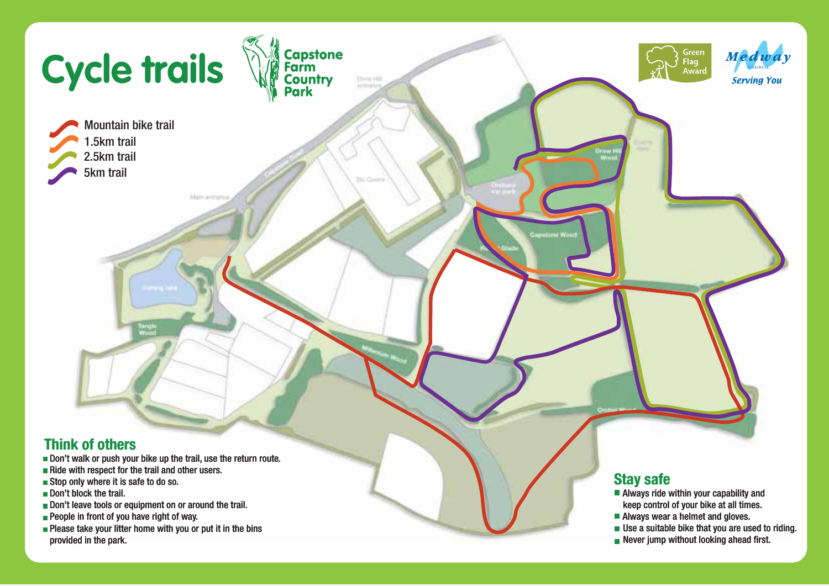

- Don't leave tools or equipment on or around the trail.
- **People in front of you have right of way.**
- **Please take your litter home with you or put it in the bins** provided in the park.
- keep control of your bike at all times.
- Always wear a helmet and gloves.
- Use a suitable bike that you are used to riding.
- Never jump without looking ahead first.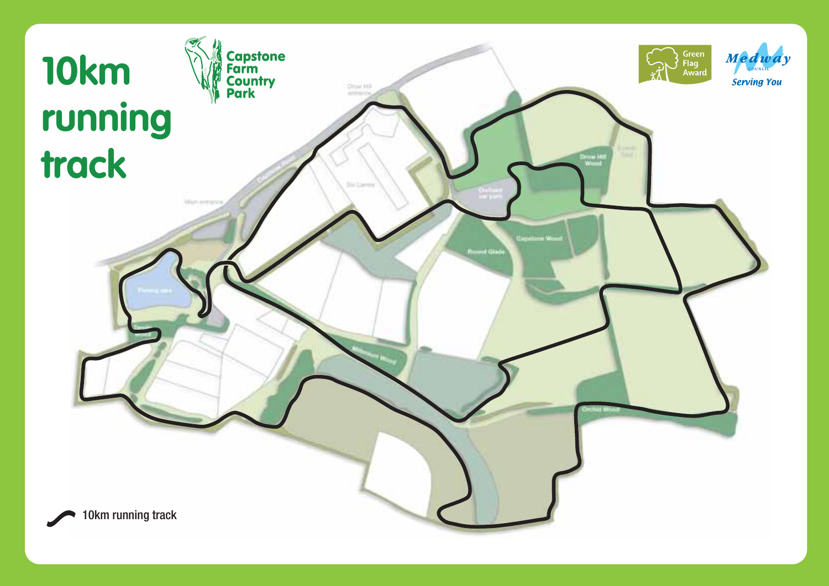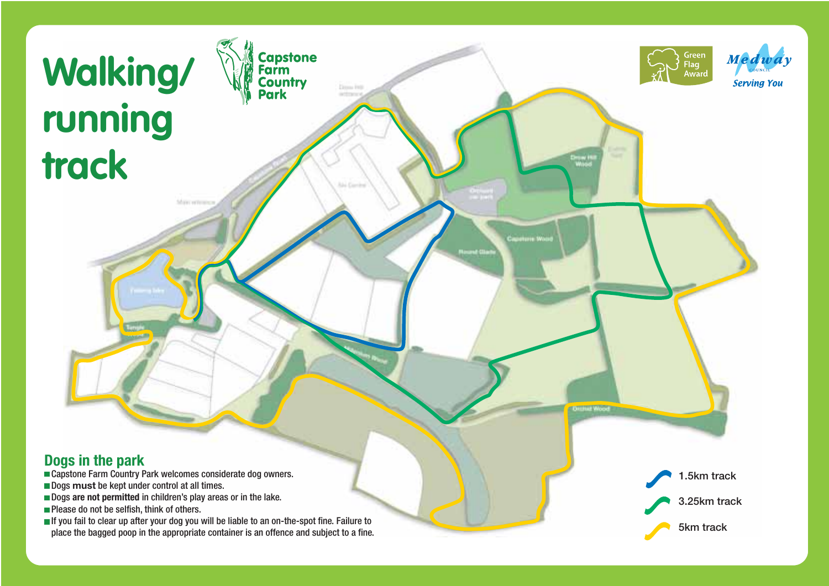